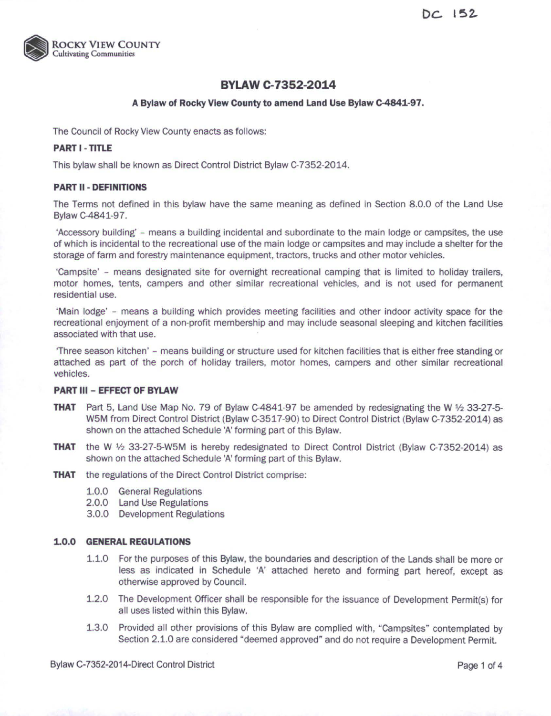

# **BYLAW C-7352-2014**

## **A Bylaw of Rocky VIew County to amend Land Use Bylaw c-4841-97.**

The Council of Rocky View County enacts as follows:

## **PART I - TITLE**

This bylaw shall be known as Direct Control District Bylaw C-7352-2014.

## **PART II - DEFINITIONS**

The Terms not defined in this bylaw have the same meaning as defined in Section 8.0.0 of the Land Use Bylaw C-4841-97.

'Accessory building' - means a building incidental and subordinate to the main lodge or campsites, the use of which is incidental to the recreational use of the main lodge or campsites and may include a shelter for the storage of farm and forestry maintenance equipment, tractors, trucks and other motor vehicles.

'Campsite' - means designated site for overnight recreational camping that is limited to holiday trailers, motor homes, tents, campers and other similar recreational vehicles, and is not used for permanent residential use.

'Main lodge' - means a building which provides meeting facilities and other indoor activity space for the recreational enjoyment of a non-profit membership and may include seasonal sleeping and kitchen facilities associated with that use.

'Three season kitchen' - means building or structure used for kitchen facilities that is either free standing or attached as part of the porch of holiday trailers, motor homes, campers and other similar recreational vehicles.

### **PART Ill- EFFECT OF BYLAW**

- **THAT** Part 5, Land Use Map No. 79 of Bylaw C-4841-97 be amended by redesignating the W *¥2* 33-27-5- W5M from Direct Control District (Bylaw C-3517 -90) to Direct Control District (Bylaw C-7352-2014) as shown on the attached Schedule 'A' forming part of this Bylaw.
- **THAT** the W *¥2* 33-27-5-W5M is hereby redesignated to Direct Control District (Bylaw C-7352-2014) as shown on the attached Schedule 'A' forming part of this Bylaw.
- **THAT** the regulations of the Direct Control District comprise:
	- 1.0.0 General Regulations
	- 2.0.0 Land Use Regulations
	- 3.0.0 Development Regulations

### **1.0.0 GENERAL REGULATIONS**

- 1.1.0 For the purposes of this Bylaw, the boundaries and description of the Lands shall be more or less as indicated in Schedule 'A' attached hereto and forming part hereof, except as otherwise approved by Council.
- 1.2.0 The Development Officer shall be responsible for the issuance of Development Permit(s) for all uses listed within this Bylaw.
- 1.3.0 Provided all other provisions of this Bylaw are complied with, "Campsites" contemplated by Section 2.1.0 are considered "deemed approved" and do not require a Development Permit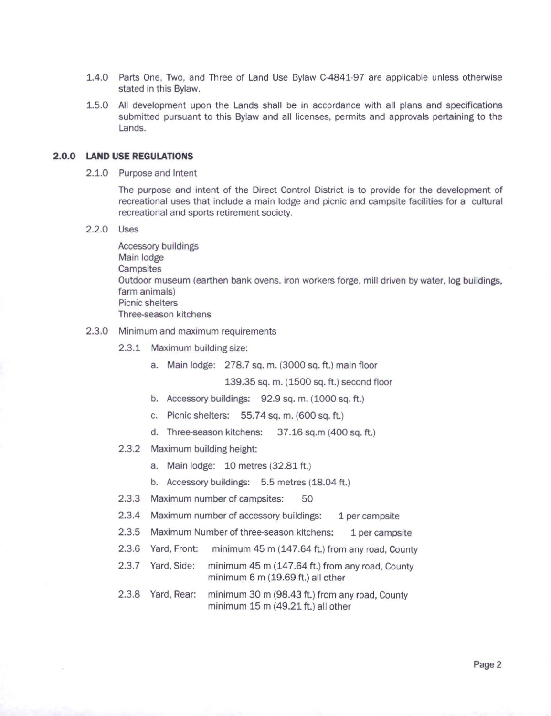- 1.4.0 Parts One, Two, and Three of Land Use Bylaw C-4841-97 are applicable unless otherwise stated in this Bylaw.
- 1.5.0 All development upon the Lands shall be in accordance with all plans and specifications submitted pursuant to this Bylaw and all licenses, permits and approvals pertaining to the Lands.

#### **2.0.0 LAND USE REGULATIONS**

2.1.0 Purpose and Intent

The purpose and intent of the Direct Control District is to provide for the development of recreational uses that include a main lodge and picnic and campsite facilities for a cultural recreational and sports retirement society.

2.2.0 Uses

Accessory buildings Main lodge **Campsites** Outdoor museum (earthen bank ovens, iron workers forge, mill driven by water, log buildings, farm animals) Picnic shelters Three-season kitchens

- 2.3.0 Minimum and maximum requirements
	- 2.3.1 Maximum building size:
		- a. Main lodge: 278.7 sq. m. (3000 sq. ft.) main floor

139.35 SQ. m. (1500 SQ. ft.) second floor

- b. Accessory buildings: 92.9 sq. m. (1000 sq. ft.)
- c. Picnic shelters: 55.74 SQ. m. (600 sq. ft.)
- d. Three-season kitchens: 37.16 sq.m (400 sq. ft.)
- 2.3.2 Maximum building height:
	- a. Main lodge: 10 metres (32.81 ft.)
	- b. Accessory buildings: 5.5 metres (18.04 ft.)
- 2.3.3 Maximum number of campsites: 50
- 2.3.4 Maximum number of accessory buildings: 1 per campsite
- 2.3.5 Maximum Number of three-season kitchens: 1 per campsite
- 2.3.6 Yard, Front: minimum 45 m (147.64 ft.) from any road, County
- 2.3.7 Yard, Side: minimum 45 m (147.64 ft.) from any road, County minimum 6 m (19.69 ft.) all other
- 2.3.8 Yard, Rear: minimum 30 m (98.43 ft.) from any road, County minimum 15m (49.21 ft.) all other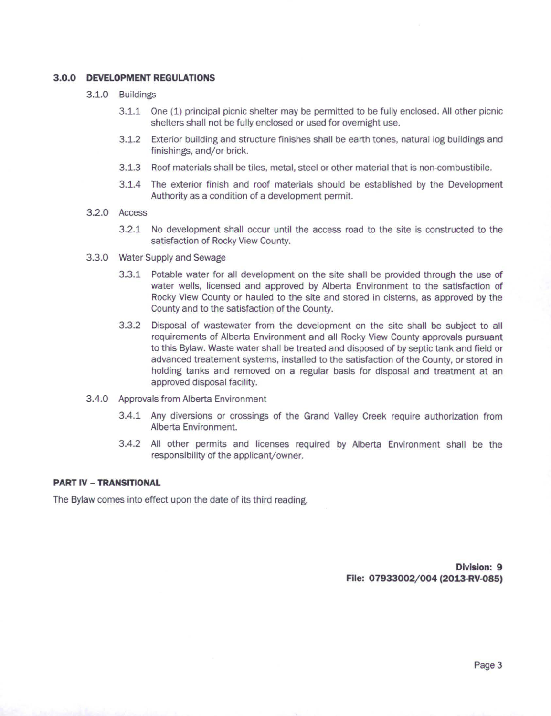## **3.0.0 DEVELOPMENT REGULATIONS**

- 3.1.0 Buildings
	- 3.1.1 One (1) principal picnic shelter may be permitted to be fully enclosed. All other picnic shelters shall not be fully enclosed or used for overnight use.
	- 3.1.2 Exterior building and structure finishes shall be earth tones, natural log buildings and finishings, and/or brick.
	- 3.1.3 Roof materials shall be tiles, metal, steel or other material that is non-combustibile.
	- 3.1.4 The exterior finish and roof materials should be established by the Development Authority as a condition of a development permit.
- 3.2.0 Access
	- 3.2.1 No development shall occur until the access road to the site is constructed to the satisfaction of Rocky View County.
- 3.3.0 Water Supply and Sewage
	- 3.3.1 Potable water for all development on the site shall be provided through the use of water wells, licensed and approved by Alberta Environment to the satisfaction of Rocky View County or hauled to the site and stored in cisterns, as approved by the County and to the satisfaction of the County.
	- 3.3.2 Disposal of wastewater from the development on the site shall be subject to all requirements of Alberta Environment and all Rocky View County approvals pursuant to this Bylaw. Waste water shall be treated and disposed of by septic tank and field or advanced treatement systems, installed to the satisfaction of the County, or stored in holding tanks and removed on a regular basis for disposal and treatment at an approved disposal facility.
- 3.4.0 Approvals from Alberta Environment
	- 3.4.1 Any diversions or crossings of the Grand Valley Creek require authorization from Alberta Environment.
	- 3.4.2 All other permits and licenses required by Alberta Environment shall be the responsibility of the applicant/owner.

## **PART** IV - **TRANSITIONAL**

The Bylaw comes into effect upon the date of its third reading.

**Division: 9**  File: 07933002/004 (2013-RV-085)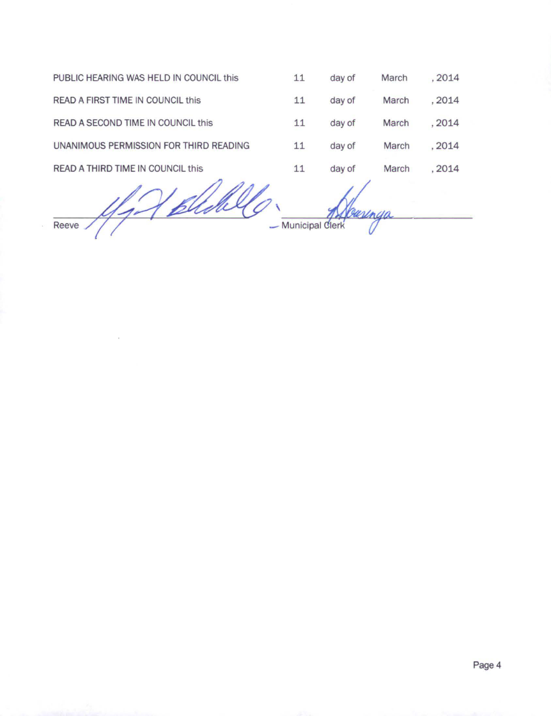| PUBLIC HEARING WAS HELD IN COUNCIL this | 11                | day of  | March | , 2014 |
|-----------------------------------------|-------------------|---------|-------|--------|
| READ A FIRST TIME IN COUNCIL this       | 11                | day of  | March | .2014  |
| READ A SECOND TIME IN COUNCIL this      | 11                | day of  | March | , 2014 |
| UNANIMOUS PERMISSION FOR THIRD READING  | 11                | day of  | March | , 2014 |
| READ A THIRD TIME IN COUNCIL this       | 11                | day of  | March | .2014  |
|                                         |                   | Caringa |       |        |
| Reeve                                   | - Municipal Clerk |         |       |        |

 $\sim$ 

Page 4